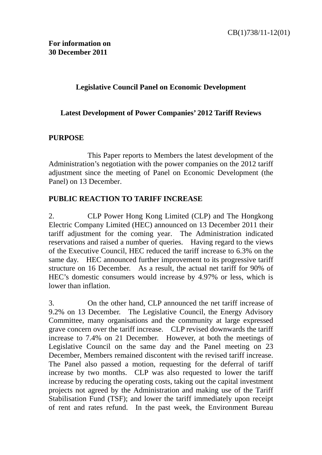## **Legislative Council Panel on Economic Development**

## **Latest Development of Power Companies' 2012 Tariff Reviews**

## **PURPOSE**

This Paper reports to Members the latest development of the Administration's negotiation with the power companies on the 2012 tariff adjustment since the meeting of Panel on Economic Development (the Panel) on 13 December.

## **PUBLIC REACTION TO TARIFF INCREASE**

2. CLP Power Hong Kong Limited (CLP) and The Hongkong Electric Company Limited (HEC) announced on 13 December 2011 their tariff adjustment for the coming year. The Administration indicated reservations and raised a number of queries. Having regard to the views of the Executive Council, HEC reduced the tariff increase to 6.3% on the same day. HEC announced further improvement to its progressive tariff structure on 16 December. As a result, the actual net tariff for 90% of HEC's domestic consumers would increase by 4.97% or less, which is lower than inflation.

3. On the other hand, CLP announced the net tariff increase of 9.2% on 13 December. The Legislative Council, the Energy Advisory Committee, many organisations and the community at large expressed grave concern over the tariff increase. CLP revised downwards the tariff increase to 7.4% on 21 December. However, at both the meetings of Legislative Council on the same day and the Panel meeting on 23 December, Members remained discontent with the revised tariff increase. The Panel also passed a motion, requesting for the deferral of tariff increase by two months. CLP was also requested to lower the tariff increase by reducing the operating costs, taking out the capital investment projects not agreed by the Administration and making use of the Tariff Stabilisation Fund (TSF); and lower the tariff immediately upon receipt of rent and rates refund. In the past week, the Environment Bureau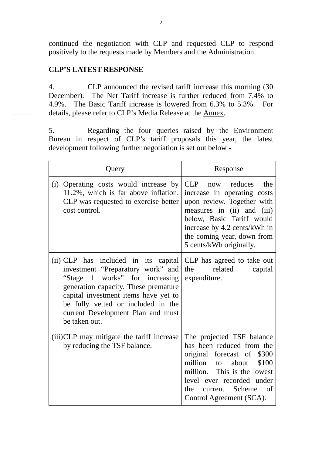continued the negotiation with CLP and requested CLP to respond positively to the requests made by Members and the Administration.

# **CLP'S LATEST RESPONSE**

4. CLP announced the revised tariff increase this morning (30 December). The Net Tariff increase is further reduced from 7.4% to 4.9%. The Basic Tariff increase is lowered from 6.3% to 5.3%. For details, please refer to CLP's Media Release at the Annex.

5. Regarding the four queries raised by the Environment Bureau in respect of CLP's tariff proposals this year, the latest development following further negotiation is set out below -

| Query                                                                                                                                                                                                                                                                                   | Response                                                                                                                                                                                                                                   |
|-----------------------------------------------------------------------------------------------------------------------------------------------------------------------------------------------------------------------------------------------------------------------------------------|--------------------------------------------------------------------------------------------------------------------------------------------------------------------------------------------------------------------------------------------|
| Operating costs would increase by<br>(i)<br>11.2%, which is far above inflation.<br>CLP was requested to exercise better<br>cost control.                                                                                                                                               | CLP<br>now reduces<br>the<br>increase in operating costs<br>upon review. Together with<br>measures in (ii) and (iii)<br>below, Basic Tariff would<br>increase by 4.2 cents/kWh in<br>the coming year, down from<br>5 cents/kWh originally. |
| (ii) CLP has included in its capital<br>investment "Preparatory work" and<br>"Stage 1 works" for increasing<br>generation capacity. These premature<br>capital investment items have yet to<br>be fully vetted or included in the<br>current Development Plan and must<br>be taken out. | CLP has agreed to take out<br>related<br>the<br>capital<br>expenditure.                                                                                                                                                                    |
| (iii)CLP may mitigate the tariff increase<br>by reducing the TSF balance.                                                                                                                                                                                                               | The projected TSF balance<br>has been reduced from the<br>original forecast of \$300<br>million to<br>about<br>\$100<br>million. This is the lowest<br>level ever recorded under<br>the current Scheme<br>of<br>Control Agreement (SCA).   |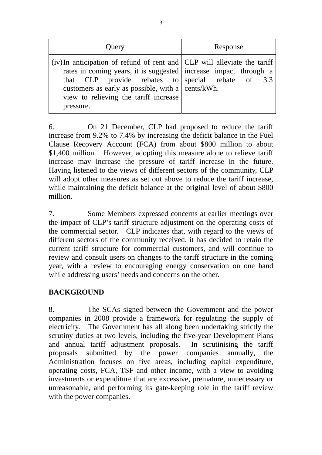| Query                                                                                                                                                                                                                                                                                                              | Response |
|--------------------------------------------------------------------------------------------------------------------------------------------------------------------------------------------------------------------------------------------------------------------------------------------------------------------|----------|
| (iv) In anticipation of refund of rent and CLP will alleviate the tariff<br>rates in coming years, it is suggested increase impact through a<br>that CLP provide rebates to special rebate of $3.3$<br>customers as early as possible, with a $ $ cents/kWh.<br>view to relieving the tariff increase<br>pressure. |          |

6. On 21 December, CLP had proposed to reduce the tariff increase from 9.2% to 7.4% by increasing the deficit balance in the Fuel Clause Recovery Account (FCA) from about \$800 million to about \$1,400 million. However, adopting this measure alone to relieve tariff increase may increase the pressure of tariff increase in the future. Having listened to the views of different sectors of the community, CLP will adopt other measures as set out above to reduce the tariff increase, while maintaining the deficit balance at the original level of about \$800 million.

7. Some Members expressed concerns at earlier meetings over the impact of CLP's tariff structure adjustment on the operating costs of the commercial sector. CLP indicates that, with regard to the views of different sectors of the community received, it has decided to retain the current tariff structure for commercial customers, and will continue to review and consult users on changes to the tariff structure in the coming year, with a review to encouraging energy conservation on one hand while addressing users' needs and concerns on the other.

# **BACKGROUND**

8. The SCAs signed between the Government and the power companies in 2008 provide a framework for regulating the supply of electricity. The Government has all along been undertaking strictly the scrutiny duties at two levels, including the five-year Development Plans and annual tariff adjustment proposals. In scrutinising the tariff proposals submitted by the power companies annually, the Administration focuses on five areas, including capital expenditure, operating costs, FCA, TSF and other income, with a view to avoiding investments or expenditure that are excessive, premature, unnecessary or unreasonable, and performing its gate-keeping role in the tariff review with the power companies.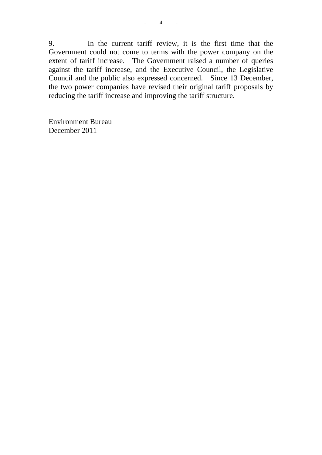9. In the current tariff review, it is the first time that the Government could not come to terms with the power company on the extent of tariff increase. The Government raised a number of queries against the tariff increase, and the Executive Council, the Legislative Council and the public also expressed concerned. Since 13 December, the two power companies have revised their original tariff proposals by reducing the tariff increase and improving the tariff structure.

Environment Bureau December 2011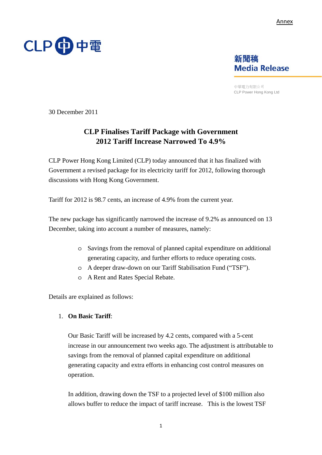



中華電力有限公司 CLP Power Hong Kong Ltd

30 December 2011

# **CLP Finalises Tariff Package with Government 2012 Tariff Increase Narrowed To 4.9%**

CLP Power Hong Kong Limited (CLP) today announced that it has finalized with Government a revised package for its electricity tariff for 2012, following thorough discussions with Hong Kong Government.

Tariff for 2012 is 98.7 cents, an increase of 4.9% from the current year.

The new package has significantly narrowed the increase of 9.2% as announced on 13 December, taking into account a number of measures, namely:

- o Savings from the removal of planned capital expenditure on additional generating capacity, and further efforts to reduce operating costs.
- o A deeper draw-down on our Tariff Stabilisation Fund ("TSF").
- o A Rent and Rates Special Rebate.

Details are explained as follows:

#### 1. **On Basic Tariff**:

Our Basic Tariff will be increased by 4.2 cents, compared with a 5-cent increase in our announcement two weeks ago. The adjustment is attributable to savings from the removal of planned capital expenditure on additional generating capacity and extra efforts in enhancing cost control measures on operation.

In addition, drawing down the TSF to a projected level of \$100 million also allows buffer to reduce the impact of tariff increase. This is the lowest TSF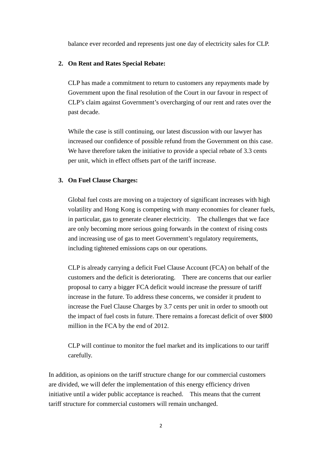balance ever recorded and represents just one day of electricity sales for CLP.

### **2. On Rent and Rates Special Rebate:**

CLP has made a commitment to return to customers any repayments made by Government upon the final resolution of the Court in our favour in respect of CLP's claim against Government's overcharging of our rent and rates over the past decade.

While the case is still continuing, our latest discussion with our lawyer has increased our confidence of possible refund from the Government on this case. We have therefore taken the initiative to provide a special rebate of 3.3 cents per unit, which in effect offsets part of the tariff increase.

### **3. On Fuel Clause Charges:**

Global fuel costs are moving on a trajectory of significant increases with high volatility and Hong Kong is competing with many economies for cleaner fuels, in particular, gas to generate cleaner electricity. The challenges that we face are only becoming more serious going forwards in the context of rising costs and increasing use of gas to meet Government's regulatory requirements, including tightened emissions caps on our operations.

CLP is already carrying a deficit Fuel Clause Account (FCA) on behalf of the customers and the deficit is deteriorating. There are concerns that our earlier proposal to carry a bigger FCA deficit would increase the pressure of tariff increase in the future. To address these concerns, we consider it prudent to increase the Fuel Clause Charges by 3.7 cents per unit in order to smooth out the impact of fuel costs in future. There remains a forecast deficit of over \$800 million in the FCA by the end of 2012.

CLP will continue to monitor the fuel market and its implications to our tariff carefully.

In addition, as opinions on the tariff structure change for our commercial customers are divided, we will defer the implementation of this energy efficiency driven initiative until a wider public acceptance is reached. This means that the current tariff structure for commercial customers will remain unchanged.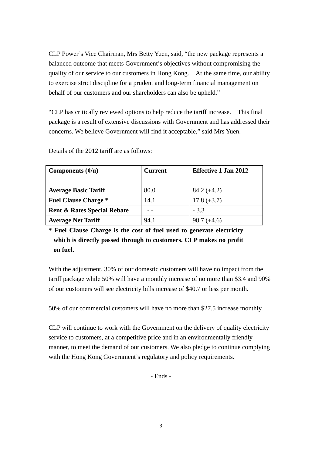CLP Power's Vice Chairman, Mrs Betty Yuen, said, "the new package represents a balanced outcome that meets Government's objectives without compromising the quality of our service to our customers in Hong Kong. At the same time, our ability to exercise strict discipline for a prudent and long-term financial management on behalf of our customers and our shareholders can also be upheld."

"CLP has critically reviewed options to help reduce the tariff increase. This final package is a result of extensive discussions with Government and has addressed their concerns. We believe Government will find it acceptable," said Mrs Yuen.

| Components $(\psi/\mathbf{u})$         | <b>Current</b> | <b>Effective 1 Jan 2012</b> |
|----------------------------------------|----------------|-----------------------------|
| <b>Average Basic Tariff</b>            | 80.0           | $84.2 (+4.2)$               |
| <b>Fuel Clause Charge *</b>            | 14.1           | $17.8 (+3.7)$               |
| <b>Rent &amp; Rates Special Rebate</b> |                | $-3.3$                      |
| <b>Average Net Tariff</b>              | 94.1           | $98.7 (+4.6)$               |

Details of the 2012 tariff are as follows:

**\* Fuel Clause Charge is the cost of fuel used to generate electricity which is directly passed through to customers. CLP makes no profit on fuel.** 

With the adjustment, 30% of our domestic customers will have no impact from the tariff package while 50% will have a monthly increase of no more than \$3.4 and 90% of our customers will see electricity bills increase of \$40.7 or less per month.

50% of our commercial customers will have no more than \$27.5 increase monthly.

CLP will continue to work with the Government on the delivery of quality electricity service to customers, at a competitive price and in an environmentally friendly manner, to meet the demand of our customers. We also pledge to continue complying with the Hong Kong Government's regulatory and policy requirements.

- Ends -